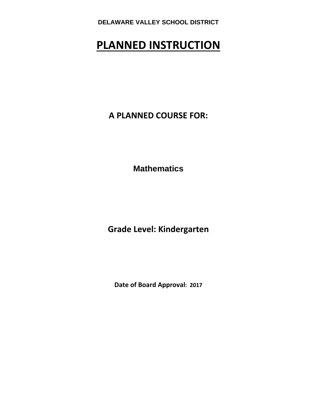# **PLANNED INSTRUCTION**

**A PLANNED COURSE FOR:**

**Mathematics** 

**Grade Level: Kindergarten** 

**Date of Board Approval: 2017**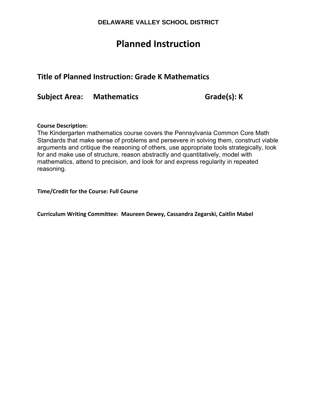## **Planned Instruction**

## **Title of Planned Instruction: Grade K Mathematics**

**Subject Area: Mathematics Grade(s): K**

#### **Course Description:**

The Kindergarten mathematics course covers the Pennsylvania Common Core Math Standards that make sense of problems and persevere in solving them, construct viable arguments and critique the reasoning of others, use appropriate tools strategically, look for and make use of structure, reason abstractly and quantitatively, model with mathematics, attend to precision, and look for and express regularity in repeated reasoning.

**Time/Credit for the Course: Full Course**

**Curriculum Writing Committee: Maureen Dewey, Cassandra Zegarski, Caitlin Mabel**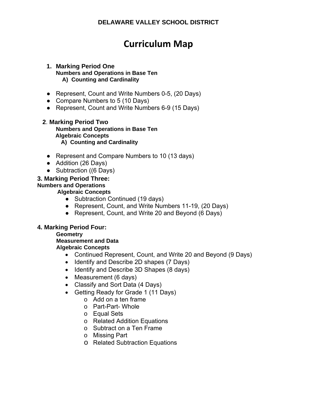## **Curriculum Map**

#### **1. Marking Period One Numbers and Operations in Base Ten A) Counting and Cardinality**

- Represent, Count and Write Numbers 0-5, (20 Days)
- Compare Numbers to 5 (10 Days)
- Represent, Count and Write Numbers 6-9 (15 Days)

## **2**. **Marking Period Two**

**Numbers and Operations in Base Ten Algebraic Concepts A) Counting and Cardinality** 

- Represent and Compare Numbers to 10 (13 days)
- Addition (26 Days)
- Subtraction ((6 Days)

## **3. Marking Period Three:**

### **Numbers and Operations**

 **Algebraic Concepts** 

- Subtraction Continued (19 days)
- Represent, Count, and Write Numbers 11-19, (20 Days)
- Represent, Count, and Write 20 and Beyond (6 Days)

## **4. Marking Period Four:**

#### **Geometry**

 **Measurement and Data** 

## **Algebraic Concepts**

- Continued Represent, Count, and Write 20 and Beyond (9 Days)
- Identify and Describe 2D shapes (7 Days)
- Identify and Describe 3D Shapes (8 days)
- Measurement (6 days)
- Classify and Sort Data (4 Days)
- Getting Ready for Grade 1 (11 Days)
	- o Add on a ten frame
	- o Part-Part- Whole
	- o Equal Sets
	- o Related Addition Equations
	- o Subtract on a Ten Frame
	- o Missing Part
	- o Related Subtraction Equations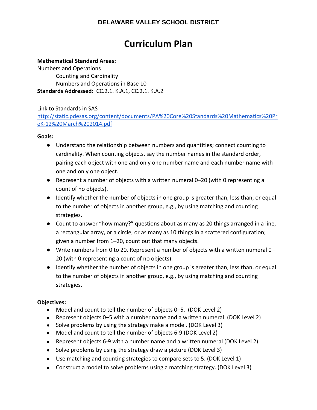## **Curriculum Plan**

### **Mathematical Standard Areas:**

Numbers and Operations Counting and Cardinality Numbers and Operations in Base 10 **Standards Addressed:** CC.2.1. K.A.1, CC.2.1. K.A.2

Link to Standards in SAS

http://static.pdesas.org/content/documents/PA%20Core%20Standards%20Mathematics%20Pr eK‐12%20March%202014.pdf

#### **Goals:**

- Understand the relationship between numbers and quantities; connect counting to cardinality. When counting objects, say the number names in the standard order, pairing each object with one and only one number name and each number name with one and only one object.
- Represent a number of objects with a written numeral 0–20 (with 0 representing a count of no objects).
- Identify whether the number of objects in one group is greater than, less than, or equal to the number of objects in another group, e.g., by using matching and counting strategies**.**
- Count to answer "how many?" questions about as many as 20 things arranged in a line, a rectangular array, or a circle, or as many as 10 things in a scattered configuration; given a number from 1–20, count out that many objects.
- Write numbers from 0 to 20. Represent a number of objects with a written numeral 0– 20 (with 0 representing a count of no objects).
- Identify whether the number of objects in one group is greater than, less than, or equal to the number of objects in another group, e.g., by using matching and counting strategies.

## **Objectives:**

- Model and count to tell the number of objects 0–5. (DOK Level 2)
- Represent objects 0–5 with a number name and a written numeral. (DOK Level 2)
- Solve problems by using the strategy make a model. (DOK Level 3)
- Model and count to tell the number of objects 6-9 (DOK Level 2)
- Represent objects 6-9 with a number name and a written numeral (DOK Level 2)
- Solve problems by using the strategy draw a picture (DOK Level 3)
- Use matching and counting strategies to compare sets to 5. (DOK Level 1)
- Construct a model to solve problems using a matching strategy. (DOK Level 3)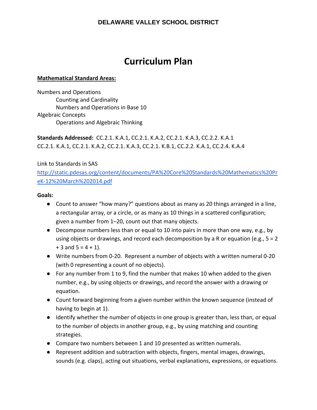## **Curriculum Plan**

### **Mathematical Standard Areas:**

Numbers and Operations Counting and Cardinality Numbers and Operations in Base 10 Algebraic Concepts Operations and Algebraic Thinking

**Standards Addressed:** CC.2.1. K.A.1, CC.2.1. K.A.2, CC.2.1. K.A.3, CC.2.2. K.A.1 CC.2.1. K.A.1, CC.2.1. K.A.2, CC.2.1. K.A.3, CC.2.1. K.B.1, CC.2.2. K.A.1, CC.2.4. K.A.4

Link to Standards in SAS

http://static.pdesas.org/content/documents/PA%20Core%20Standards%20Mathematics%20Pr eK‐12%20March%202014.pdf

#### **Goals:**

- Count to answer "how many?" questions about as many as 20 things arranged in a line, a rectangular array, or a circle, or as many as 10 things in a scattered configuration; given a number from 1–20, count out that many objects.
- Decompose numbers less than or equal to 10 into pairs in more than one way, e.g., by using objects or drawings, and record each decomposition by a R or equation (e.g.,  $5 = 2$ )  $+ 3$  and  $5 = 4 + 1$ ).
- Write numbers from 0-20. Represent a number of objects with a written numeral 0-20 (with 0 representing a count of no objects).
- For any number from 1 to 9, find the number that makes 10 when added to the given number, e.g., by using objects or drawings, and record the answer with a drawing or equation.
- Count forward beginning from a given number within the known sequence (instead of having to begin at 1).
- Identify whether the number of objects in one group is greater than, less than, or equal to the number of objects in another group, e.g., by using matching and counting strategies.
- Compare two numbers between 1 and 10 presented as written numerals.
- Represent addition and subtraction with objects, fingers, mental images, drawings, sounds (e.g. claps), acting out situations, verbal explanations, expressions, or equations.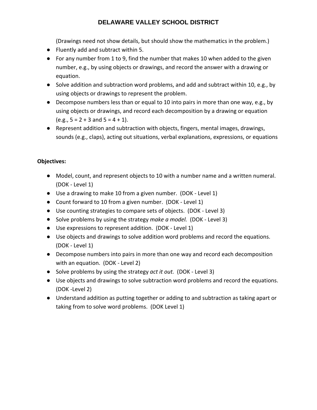(Drawings need not show details, but should show the mathematics in the problem.)

- Fluently add and subtract within 5.
- For any number from 1 to 9, find the number that makes 10 when added to the given number, e.g., by using objects or drawings, and record the answer with a drawing or equation.
- Solve addition and subtraction word problems, and add and subtract within 10, e.g., by using objects or drawings to represent the problem.
- Decompose numbers less than or equal to 10 into pairs in more than one way, e.g., by using objects or drawings, and record each decomposition by a drawing or equation  $(e.g., 5 = 2 + 3 \text{ and } 5 = 4 + 1).$
- Represent addition and subtraction with objects, fingers, mental images, drawings, sounds (e.g., claps), acting out situations, verbal explanations, expressions, or equations

## **Objectives:**

- Model, count, and represent objects to 10 with a number name and a written numeral. (DOK ‐ Level 1)
- Use a drawing to make 10 from a given number. (DOK Level 1)
- Count forward to 10 from a given number. (DOK Level 1)
- Use counting strategies to compare sets of objects. (DOK Level 3)
- Solve problems by using the strategy *make a model.* (DOK Level 3)
- Use expressions to represent addition. (DOK Level 1)
- Use objects and drawings to solve addition word problems and record the equations. (DOK ‐ Level 1)
- Decompose numbers into pairs in more than one way and record each decomposition with an equation. (DOK ‐ Level 2)
- Solve problems by using the strategy *act it out.* (DOK Level 3)
- Use objects and drawings to solve subtraction word problems and record the equations. (DOK ‐Level 2)
- Understand addition as putting together or adding to and subtraction as taking apart or taking from to solve word problems. (DOK Level 1)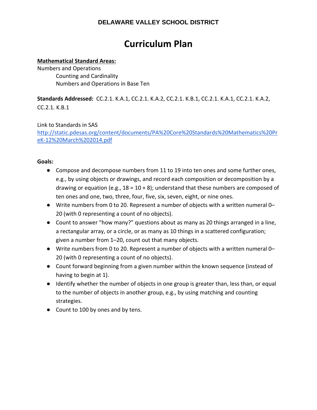## **Curriculum Plan**

### **Mathematical Standard Areas:**

Numbers and Operations Counting and Cardinality Numbers and Operations in Base Ten

**Standards Addressed:** CC.2.1. K.A.1, CC.2.1. K.A.2, CC.2.1. K.B.1, CC.2.1. K.A.1, CC.2.1. K.A.2, CC.2.1. K.B.1

Link to Standards in SAS http://static.pdesas.org/content/documents/PA%20Core%20Standards%20Mathematics%20Pr eK‐12%20March%202014.pdf

#### **Goals:**

- Compose and decompose numbers from 11 to 19 into ten ones and some further ones, e.g., by using objects or drawings, and record each composition or decomposition by a drawing or equation (e.g.,  $18 = 10 + 8$ ); understand that these numbers are composed of ten ones and one, two, three, four, five, six, seven, eight, or nine ones.
- Write numbers from 0 to 20. Represent a number of objects with a written numeral 0– 20 (with 0 representing a count of no objects).
- Count to answer "how many?" questions about as many as 20 things arranged in a line, a rectangular array, or a circle, or as many as 10 things in a scattered configuration; given a number from 1–20, count out that many objects.
- Write numbers from 0 to 20. Represent a number of objects with a written numeral 0– 20 (with 0 representing a count of no objects).
- Count forward beginning from a given number within the known sequence (instead of having to begin at 1).
- Identify whether the number of objects in one group is greater than, less than, or equal to the number of objects in another group, e.g., by using matching and counting strategies.
- Count to 100 by ones and by tens.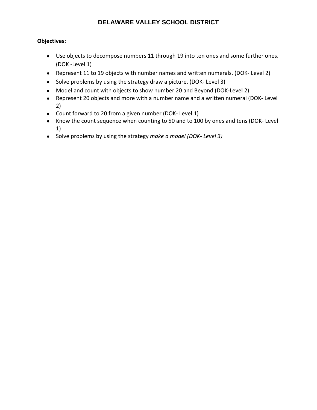## **Objectives:**

- Use objects to decompose numbers 11 through 19 into ten ones and some further ones. (DOK ‐Level 1)
- Represent 11 to 19 objects with number names and written numerals. (DOK- Level 2)
- Solve problems by using the strategy draw a picture. (DOK- Level 3)
- Model and count with objects to show number 20 and Beyond (DOK-Level 2)
- Represent 20 objects and more with a number name and a written numeral (DOK- Level 2)
- Count forward to 20 from a given number (DOK- Level 1)
- Know the count sequence when counting to 50 and to 100 by ones and tens (DOK- Level 1)
- Solve problems by using the strategy *make a model (DOK‐ Level 3)*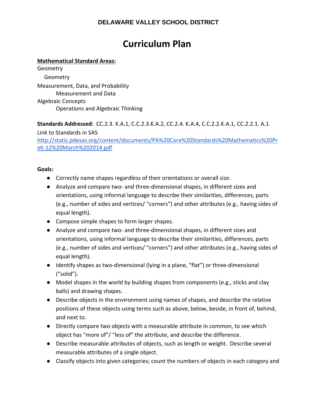## **Curriculum Plan**

## **Mathematical Standard Areas:**

Geometry **Geometry** Measurement, Data, and Probability Measurement and Data Algebraic Concepts Operations and Algebraic Thinking

**Standards Addressed:** CC.2.3. K.A.1, C.C.2.3.K.A.2, CC.2.4. K.A.4, C.C.2.2.K.A.1, CC.2.2.1. A.1 Link to Standards in SAS http://static.pdesas.org/content/documents/PA%20Core%20Standards%20Mathematics%20Pr eK‐12%20March%202014.pdf

## **Goals:**

- Correctly name shapes regardless of their orientations or overall size.
- Analyze and compare two- and three-dimensional shapes, in different sizes and orientations, using informal language to describe their similarities, differences, parts (e.g., number of sides and vertices/ "corners") and other attributes (e.g., having sides of equal length).
- Compose simple shapes to form larger shapes.
- Analyze and compare two- and three-dimensional shapes, in different sizes and orientations, using informal language to describe their similarities, differences, parts (e.g., number of sides and vertices/ "corners") and other attributes (e.g., having sides of equal length).
- Identify shapes as two-dimensional (lying in a plane, "flat") or three-dimensional ("solid").
- Model shapes in the world by building shapes from components (e.g., sticks and clay balls) and drawing shapes.
- Describe objects in the environment using names of shapes, and describe the relative positions of these objects using terms such as above, below, beside, in front of, behind, and next to.
- Directly compare two objects with a measurable attribute in common, to see which object has "more of"/ "less of" the attribute, and describe the difference.
- Describe measurable attributes of objects, such as length or weight. Describe several measurable attributes of a single object.
- Classify objects into given categories; count the numbers of objects in each category and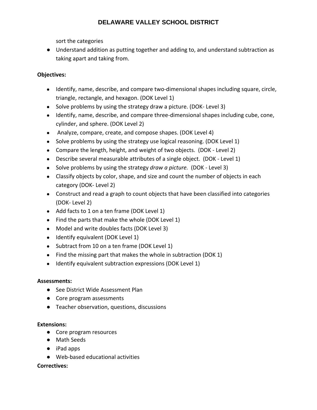sort the categories

● Understand addition as putting together and adding to, and understand subtraction as taking apart and taking from.

## **Objectives:**

- Identify, name, describe, and compare two-dimensional shapes including square, circle, triangle, rectangle, and hexagon. (DOK Level 1)
- Solve problems by using the strategy draw a picture. (DOK-Level 3)
- Identify, name, describe, and compare three-dimensional shapes including cube, cone, cylinder, and sphere. (DOK Level 2)
- Analyze, compare, create, and compose shapes. (DOK Level 4)
- Solve problems by using the strategy use logical reasoning. (DOK Level 1)
- Compare the length, height, and weight of two objects. (DOK Level 2)
- Describe several measurable attributes of a single object. (DOK Level 1)
- Solve problems by using the strategy *draw a picture.* (DOK ‐ Level 3)
- Classify objects by color, shape, and size and count the number of objects in each category (DOK‐ Level 2)
- Construct and read a graph to count objects that have been classified into categories (DOK‐ Level 2)
- Add facts to 1 on a ten frame (DOK Level 1)
- Find the parts that make the whole (DOK Level 1)
- Model and write doubles facts (DOK Level 3)
- Identify equivalent (DOK Level 1)
- Subtract from 10 on a ten frame (DOK Level 1)
- Find the missing part that makes the whole in subtraction (DOK 1)
- Identify equivalent subtraction expressions (DOK Level 1)

## **Assessments:**

- See District Wide Assessment Plan
- Core program assessments
- Teacher observation, questions, discussions

## **Extensions:**

- Core program resources
- Math Seeds
- iPad apps
- Web-based educational activities

## **Correctives:**